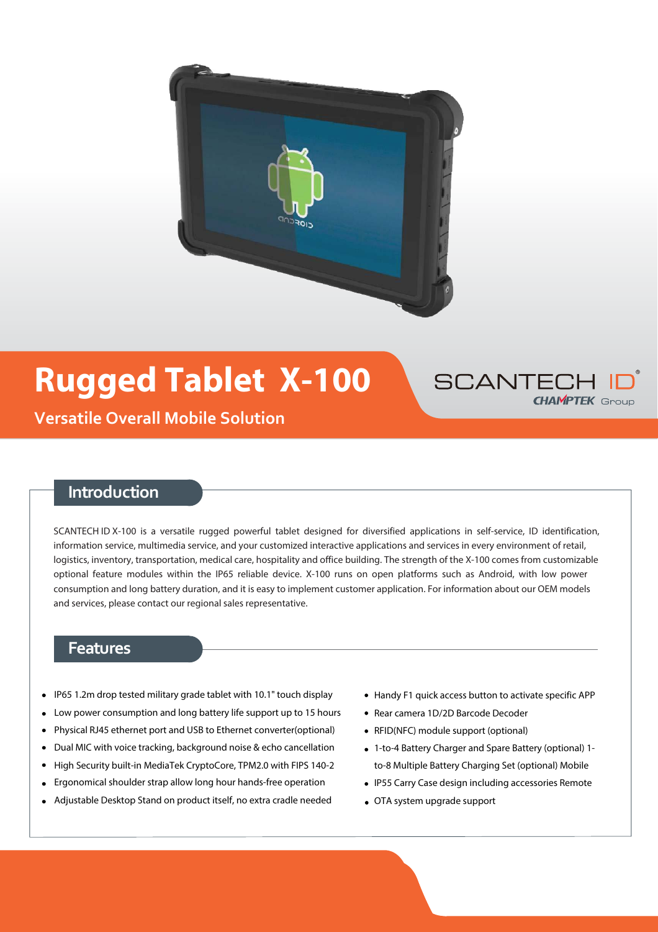

## **Rugged Tablet X-100**



**Versatile Overall Mobile Solution**

### **Introduction**

SCANTECH ID X-100 is a versatile rugged powerful tablet designed for diversified applications in self-service, ID identification, information service, multimedia service, and your customized interactive applications and services in every environment of retail, logistics, inventory, transportation, medical care, hospitality and office building. The strength of the X-100 comes from customizable optional feature modules within the IP65 reliable device. X-100 runs on open platforms such as Android, with low power consumption and long battery duration, and it is easy to implement customer application. For information about our OEM models and services, please contact our regional sales representative.

#### **Features**

- IP65 1.2m drop tested military grade tablet with 10.1" touch display
- Low power consumption and long battery life support up to 15 hours
- Physical RJ45 ethernet port and USB to Ethernet converter(optional)
- Dual MIC with voice tracking, background noise & echo cancellation  $\bullet$
- High Security built-in MediaTek CryptoCore, TPM2.0 with FIPS 140-2
- Ergonomical shoulder strap allow long hour hands-free operation
- Adjustable Desktop Stand on product itself, no extra cradle needed
- Handy F1 quick access button to activate specific APP
- Rear camera 1D/2D Barcode Decoder
- RFID(NFC) module support (optional)
- 1-to-4 Battery Charger and Spare Battery (optional) 1 to-8 Multiple Battery Charging Set (optional) Mobile
- IP55 Carry Case design including accessories Remote
- OTA system upgrade support